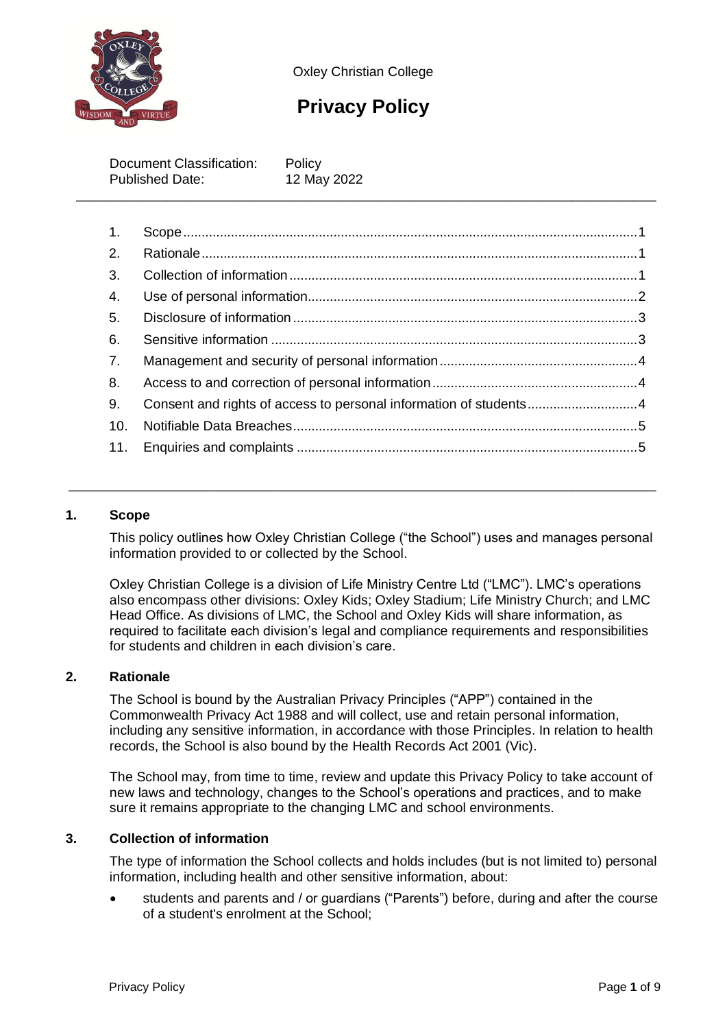

Oxley Christian College

# **Privacy Policy**

Document Classification: Policy Published Date: 12 May 2022 \_\_\_\_\_\_\_\_\_\_\_\_\_\_\_\_\_\_\_\_\_\_\_\_\_\_\_\_\_\_\_\_\_\_\_\_\_\_\_\_\_\_\_\_\_\_\_\_\_\_\_\_\_\_\_\_\_\_\_\_\_\_\_\_\_\_\_\_\_\_\_\_\_\_\_\_

| $\overline{1}$ . |                                                                   |  |
|------------------|-------------------------------------------------------------------|--|
| 2.               |                                                                   |  |
| 3.               |                                                                   |  |
| 4.               |                                                                   |  |
| 5.               |                                                                   |  |
| 6.               |                                                                   |  |
| 7.               |                                                                   |  |
| 8.               |                                                                   |  |
| 9.               | Consent and rights of access to personal information of students4 |  |
| 10.              |                                                                   |  |
| 11.              |                                                                   |  |

# <span id="page-0-0"></span>**1. Scope**

This policy outlines how Oxley Christian College ("the School") uses and manages personal information provided to or collected by the School.

\_\_\_\_\_\_\_\_\_\_\_\_\_\_\_\_\_\_\_\_\_\_\_\_\_\_\_\_\_\_\_\_\_\_\_\_\_\_\_\_\_\_\_\_\_\_\_\_\_\_\_\_\_\_\_\_\_\_\_\_\_\_\_\_\_\_\_\_\_\_\_\_\_\_\_\_\_

Oxley Christian College is a division of Life Ministry Centre Ltd ("LMC"). LMC's operations also encompass other divisions: Oxley Kids; Oxley Stadium; Life Ministry Church; and LMC Head Office. As divisions of LMC, the School and Oxley Kids will share information, as required to facilitate each division's legal and compliance requirements and responsibilities for students and children in each division's care.

# <span id="page-0-1"></span>**2. Rationale**

The School is bound by the Australian Privacy Principles ("APP") contained in the Commonwealth Privacy Act 1988 and will collect, use and retain personal information, including any sensitive information, in accordance with those Principles. In relation to health records, the School is also bound by the Health Records Act 2001 (Vic).

The School may, from time to time, review and update this Privacy Policy to take account of new laws and technology, changes to the School's operations and practices, and to make sure it remains appropriate to the changing LMC and school environments.

# <span id="page-0-2"></span>**3. Collection of information**

The type of information the School collects and holds includes (but is not limited to) personal information, including health and other sensitive information, about:

• students and parents and / or guardians ("Parents") before, during and after the course of a student's enrolment at the School;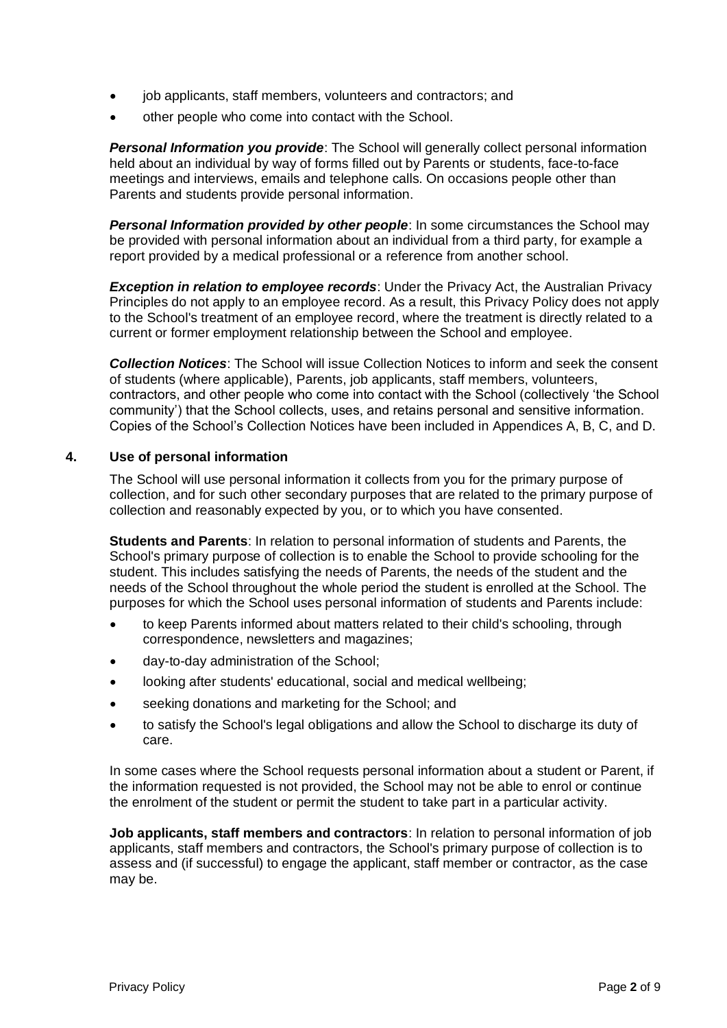- job applicants, staff members, volunteers and contractors; and
- other people who come into contact with the School.

*Personal Information you provide*: The School will generally collect personal information held about an individual by way of forms filled out by Parents or students, face-to-face meetings and interviews, emails and telephone calls. On occasions people other than Parents and students provide personal information.

*Personal Information provided by other people*: In some circumstances the School may be provided with personal information about an individual from a third party, for example a report provided by a medical professional or a reference from another school.

**Exception in relation to employee records:** Under the Privacy Act, the Australian Privacy Principles do not apply to an employee record. As a result, this Privacy Policy does not apply to the School's treatment of an employee record, where the treatment is directly related to a current or former employment relationship between the School and employee.

*Collection Notices*: The School will issue Collection Notices to inform and seek the consent of students (where applicable), Parents, job applicants, staff members, volunteers, contractors, and other people who come into contact with the School (collectively 'the School community') that the School collects, uses, and retains personal and sensitive information. Copies of the School's Collection Notices have been included in Appendices A, B, C, and D.

#### <span id="page-1-0"></span>**4. Use of personal information**

The School will use personal information it collects from you for the primary purpose of collection, and for such other secondary purposes that are related to the primary purpose of collection and reasonably expected by you, or to which you have consented.

**Students and Parents**: In relation to personal information of students and Parents, the School's primary purpose of collection is to enable the School to provide schooling for the student. This includes satisfying the needs of Parents, the needs of the student and the needs of the School throughout the whole period the student is enrolled at the School. The purposes for which the School uses personal information of students and Parents include:

- to keep Parents informed about matters related to their child's schooling, through correspondence, newsletters and magazines;
- day-to-day administration of the School;
- looking after students' educational, social and medical wellbeing;
- seeking donations and marketing for the School; and
- to satisfy the School's legal obligations and allow the School to discharge its duty of care.

In some cases where the School requests personal information about a student or Parent, if the information requested is not provided, the School may not be able to enrol or continue the enrolment of the student or permit the student to take part in a particular activity.

**Job applicants, staff members and contractors**: In relation to personal information of job applicants, staff members and contractors, the School's primary purpose of collection is to assess and (if successful) to engage the applicant, staff member or contractor, as the case may be.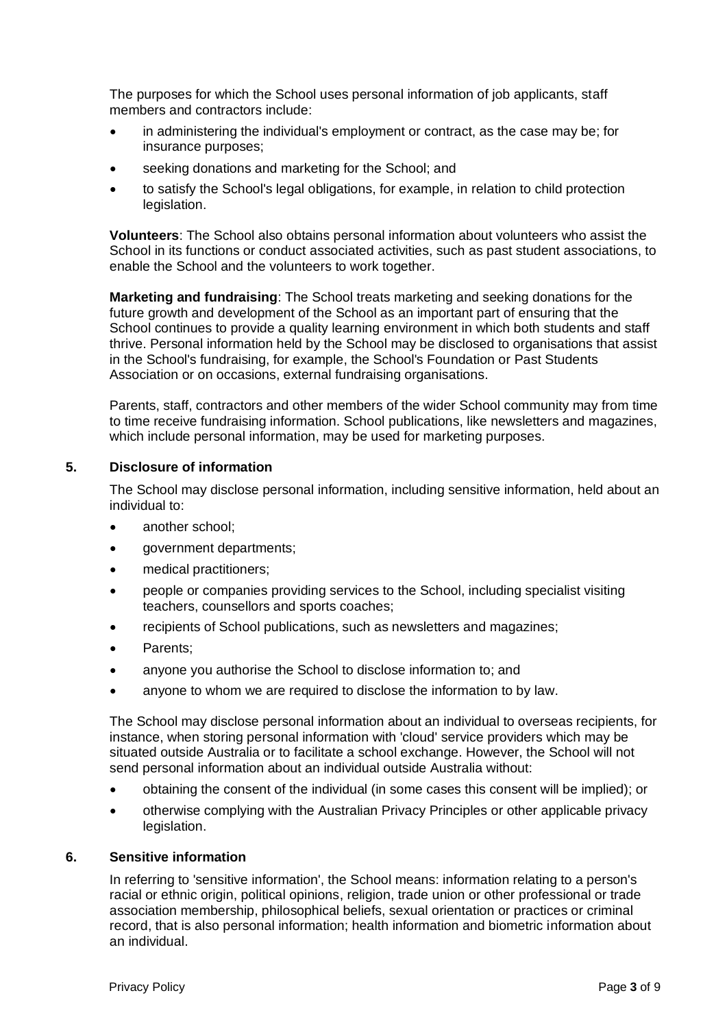The purposes for which the School uses personal information of job applicants, staff members and contractors include:

- in administering the individual's employment or contract, as the case may be; for insurance purposes;
- seeking donations and marketing for the School; and
- to satisfy the School's legal obligations, for example, in relation to child protection legislation.

**Volunteers**: The School also obtains personal information about volunteers who assist the School in its functions or conduct associated activities, such as past student associations, to enable the School and the volunteers to work together.

**Marketing and fundraising**: The School treats marketing and seeking donations for the future growth and development of the School as an important part of ensuring that the School continues to provide a quality learning environment in which both students and staff thrive. Personal information held by the School may be disclosed to organisations that assist in the School's fundraising, for example, the School's Foundation or Past Students Association or on occasions, external fundraising organisations.

Parents, staff, contractors and other members of the wider School community may from time to time receive fundraising information. School publications, like newsletters and magazines, which include personal information, may be used for marketing purposes.

#### <span id="page-2-0"></span>**5. Disclosure of information**

The School may disclose personal information, including sensitive information, held about an individual to:

- another school:
- government departments;
- medical practitioners;
- people or companies providing services to the School, including specialist visiting teachers, counsellors and sports coaches;
- recipients of School publications, such as newsletters and magazines;
- Parents:
- anyone you authorise the School to disclose information to; and
- anyone to whom we are required to disclose the information to by law.

The School may disclose personal information about an individual to overseas recipients, for instance, when storing personal information with 'cloud' service providers which may be situated outside Australia or to facilitate a school exchange. However, the School will not send personal information about an individual outside Australia without:

- obtaining the consent of the individual (in some cases this consent will be implied); or
- otherwise complying with the Australian Privacy Principles or other applicable privacy legislation.

#### <span id="page-2-1"></span>**6. Sensitive information**

In referring to 'sensitive information', the School means: information relating to a person's racial or ethnic origin, political opinions, religion, trade union or other professional or trade association membership, philosophical beliefs, sexual orientation or practices or criminal record, that is also personal information; health information and biometric information about an individual.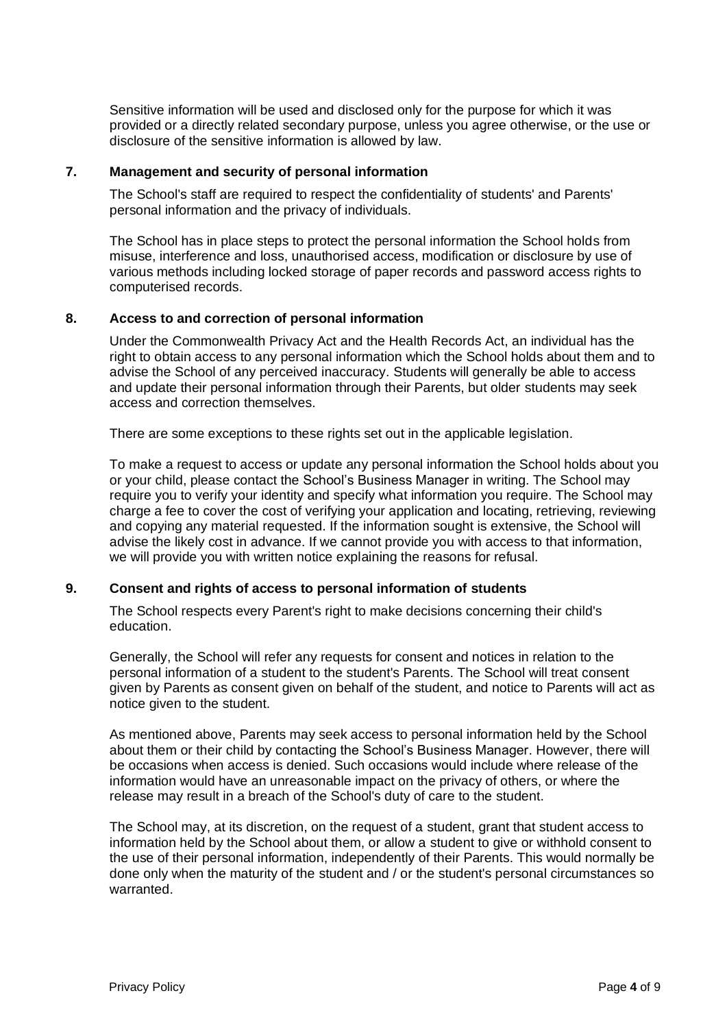Sensitive information will be used and disclosed only for the purpose for which it was provided or a directly related secondary purpose, unless you agree otherwise, or the use or disclosure of the sensitive information is allowed by law.

#### <span id="page-3-0"></span>**7. Management and security of personal information**

The School's staff are required to respect the confidentiality of students' and Parents' personal information and the privacy of individuals.

The School has in place steps to protect the personal information the School holds from misuse, interference and loss, unauthorised access, modification or disclosure by use of various methods including locked storage of paper records and password access rights to computerised records.

# <span id="page-3-1"></span>**8. Access to and correction of personal information**

Under the Commonwealth Privacy Act and the Health Records Act, an individual has the right to obtain access to any personal information which the School holds about them and to advise the School of any perceived inaccuracy. Students will generally be able to access and update their personal information through their Parents, but older students may seek access and correction themselves.

There are some exceptions to these rights set out in the applicable legislation.

To make a request to access or update any personal information the School holds about you or your child, please contact the School's Business Manager in writing. The School may require you to verify your identity and specify what information you require. The School may charge a fee to cover the cost of verifying your application and locating, retrieving, reviewing and copying any material requested. If the information sought is extensive, the School will advise the likely cost in advance. If we cannot provide you with access to that information, we will provide you with written notice explaining the reasons for refusal.

# <span id="page-3-2"></span>**9. Consent and rights of access to personal information of students**

The School respects every Parent's right to make decisions concerning their child's education.

Generally, the School will refer any requests for consent and notices in relation to the personal information of a student to the student's Parents. The School will treat consent given by Parents as consent given on behalf of the student, and notice to Parents will act as notice given to the student.

As mentioned above, Parents may seek access to personal information held by the School about them or their child by contacting the School's Business Manager. However, there will be occasions when access is denied. Such occasions would include where release of the information would have an unreasonable impact on the privacy of others, or where the release may result in a breach of the School's duty of care to the student.

The School may, at its discretion, on the request of a student, grant that student access to information held by the School about them, or allow a student to give or withhold consent to the use of their personal information, independently of their Parents. This would normally be done only when the maturity of the student and / or the student's personal circumstances so warranted.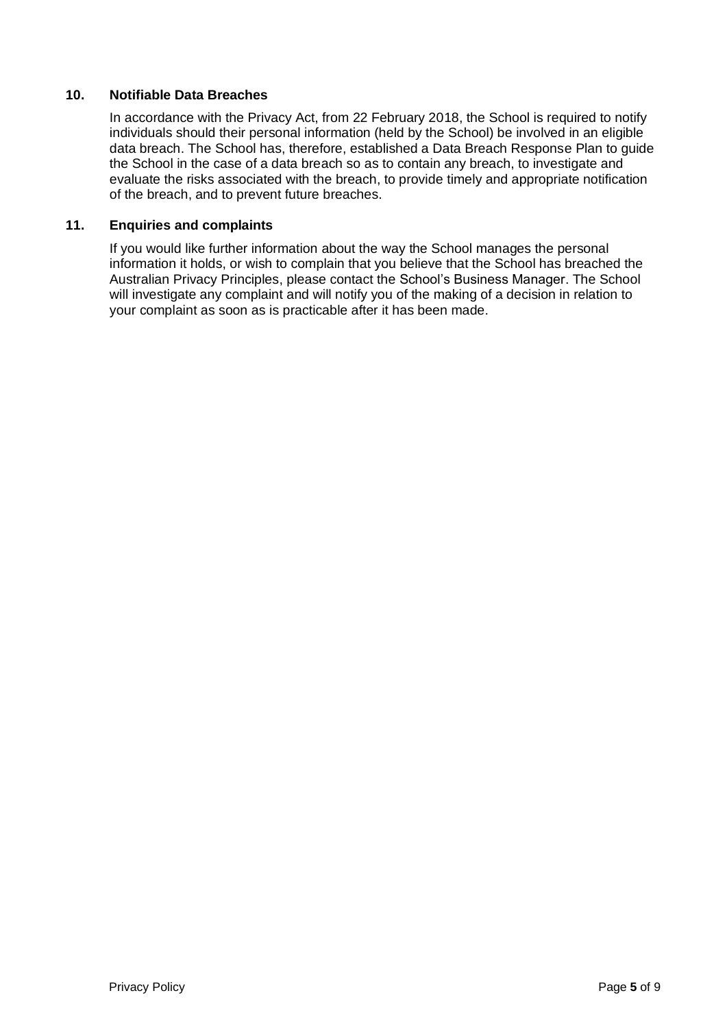# <span id="page-4-0"></span>**10. Notifiable Data Breaches**

In accordance with the Privacy Act, from 22 February 2018, the School is required to notify individuals should their personal information (held by the School) be involved in an eligible data breach. The School has, therefore, established a Data Breach Response Plan to guide the School in the case of a data breach so as to contain any breach, to investigate and evaluate the risks associated with the breach, to provide timely and appropriate notification of the breach, and to prevent future breaches.

# <span id="page-4-1"></span>**11. Enquiries and complaints**

If you would like further information about the way the School manages the personal information it holds, or wish to complain that you believe that the School has breached the Australian Privacy Principles, please contact the School's Business Manager. The School will investigate any complaint and will notify you of the making of a decision in relation to your complaint as soon as is practicable after it has been made.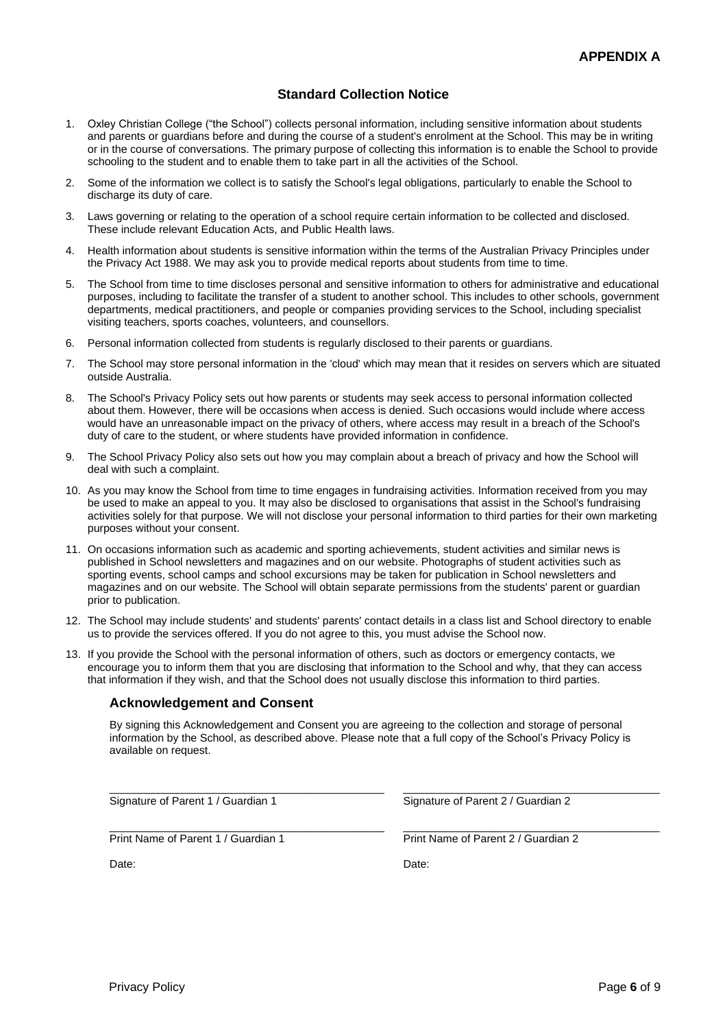# **Standard Collection Notice**

- 1. Oxley Christian College ("the School") collects personal information, including sensitive information about students and parents or guardians before and during the course of a student's enrolment at the School. This may be in writing or in the course of conversations. The primary purpose of collecting this information is to enable the School to provide schooling to the student and to enable them to take part in all the activities of the School.
- 2. Some of the information we collect is to satisfy the School's legal obligations, particularly to enable the School to discharge its duty of care.
- 3. Laws governing or relating to the operation of a school require certain information to be collected and disclosed. These include relevant Education Acts, and Public Health laws.
- 4. Health information about students is sensitive information within the terms of the Australian Privacy Principles under the Privacy Act 1988. We may ask you to provide medical reports about students from time to time.
- 5. The School from time to time discloses personal and sensitive information to others for administrative and educational purposes, including to facilitate the transfer of a student to another school. This includes to other schools, government departments, medical practitioners, and people or companies providing services to the School, including specialist visiting teachers, sports coaches, volunteers, and counsellors.
- 6. Personal information collected from students is regularly disclosed to their parents or guardians.
- 7. The School may store personal information in the 'cloud' which may mean that it resides on servers which are situated outside Australia.
- 8. The School's Privacy Policy sets out how parents or students may seek access to personal information collected about them. However, there will be occasions when access is denied. Such occasions would include where access would have an unreasonable impact on the privacy of others, where access may result in a breach of the School's duty of care to the student, or where students have provided information in confidence.
- 9. The School Privacy Policy also sets out how you may complain about a breach of privacy and how the School will deal with such a complaint.
- 10. As you may know the School from time to time engages in fundraising activities. Information received from you may be used to make an appeal to you. It may also be disclosed to organisations that assist in the School's fundraising activities solely for that purpose. We will not disclose your personal information to third parties for their own marketing purposes without your consent.
- 11. On occasions information such as academic and sporting achievements, student activities and similar news is published in School newsletters and magazines and on our website. Photographs of student activities such as sporting events, school camps and school excursions may be taken for publication in School newsletters and magazines and on our website. The School will obtain separate permissions from the students' parent or guardian prior to publication.
- 12. The School may include students' and students' parents' contact details in a class list and School directory to enable us to provide the services offered. If you do not agree to this, you must advise the School now.
- 13. If you provide the School with the personal information of others, such as doctors or emergency contacts, we encourage you to inform them that you are disclosing that information to the School and why, that they can access that information if they wish, and that the School does not usually disclose this information to third parties.

#### **Acknowledgement and Consent**

By signing this Acknowledgement and Consent you are agreeing to the collection and storage of personal information by the School, as described above. Please note that a full copy of the School's Privacy Policy is available on request.

\_\_\_\_\_\_\_\_\_\_\_\_\_\_\_\_\_\_\_\_\_\_\_\_\_\_\_\_\_\_\_\_\_\_\_\_\_\_\_\_\_\_\_\_\_ \_\_\_\_\_\_\_\_\_\_\_\_\_\_\_\_\_\_\_\_\_\_\_\_\_\_\_\_\_\_\_\_\_\_\_\_\_\_\_\_\_\_

\_\_\_\_\_\_\_\_\_\_\_\_\_\_\_\_\_\_\_\_\_\_\_\_\_\_\_\_\_\_\_\_\_\_\_\_\_\_\_\_\_\_\_\_\_ \_\_\_\_\_\_\_\_\_\_\_\_\_\_\_\_\_\_\_\_\_\_\_\_\_\_\_\_\_\_\_\_\_\_\_\_\_\_\_\_\_\_ Signature of Parent 1 / Guardian 1 Signature of Parent 2 / Guardian 2

Print Name of Parent 1 / Guardian 1 Print Name of Parent 2 / Guardian 2

Date: **Date: Date: Date: Date: Date: Date: Date: Date: Date: Date:**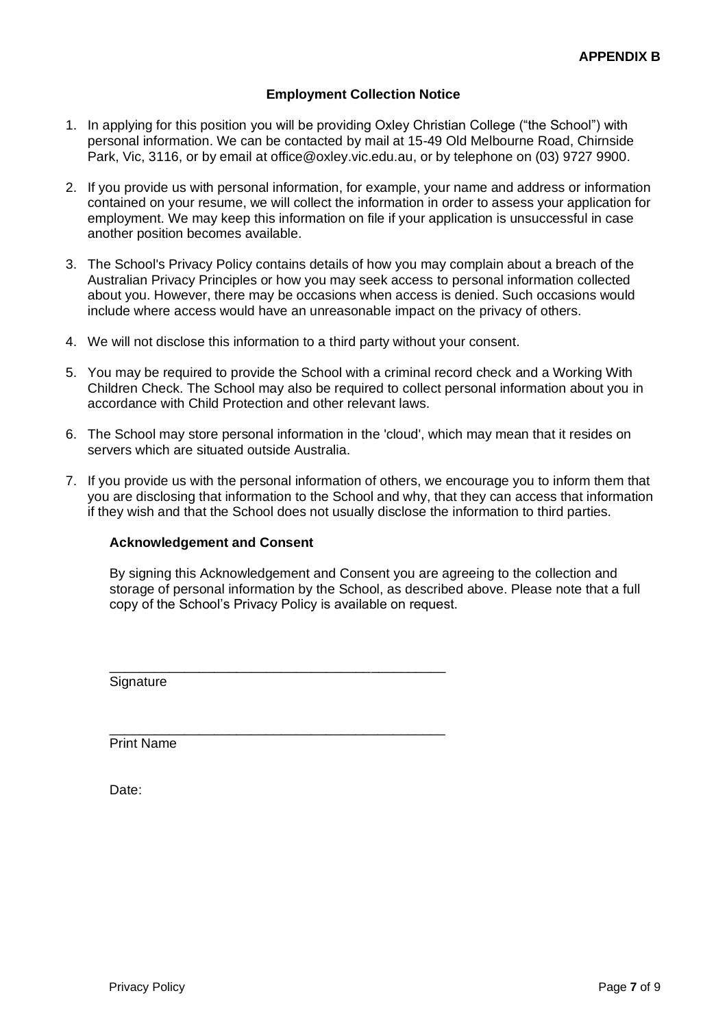# **Employment Collection Notice**

- 1. In applying for this position you will be providing Oxley Christian College ("the School") with personal information. We can be contacted by mail at 15-49 Old Melbourne Road, Chirnside Park, Vic, 3116, or by email at [office@oxley.vic.edu.au,](mailto:office@oxley.vic.edu.au) or by telephone on (03) 9727 9900.
- 2. If you provide us with personal information, for example, your name and address or information contained on your resume, we will collect the information in order to assess your application for employment. We may keep this information on file if your application is unsuccessful in case another position becomes available.
- 3. The School's Privacy Policy contains details of how you may complain about a breach of the Australian Privacy Principles or how you may seek access to personal information collected about you. However, there may be occasions when access is denied. Such occasions would include where access would have an unreasonable impact on the privacy of others.
- 4. We will not disclose this information to a third party without your consent.

\_\_\_\_\_\_\_\_\_\_\_\_\_\_\_\_\_\_\_\_\_\_\_\_\_\_\_\_\_\_\_\_\_\_\_\_\_\_\_\_\_\_\_\_\_

\_\_\_\_\_\_\_\_\_\_\_\_\_\_\_\_\_\_\_\_\_\_\_\_\_\_\_\_\_\_\_\_\_\_\_\_\_\_\_\_\_\_\_\_\_

- 5. You may be required to provide the School with a criminal record check and a Working With Children Check. The School may also be required to collect personal information about you in accordance with Child Protection and other relevant laws.
- 6. The School may store personal information in the 'cloud', which may mean that it resides on servers which are situated outside Australia.
- 7. If you provide us with the personal information of others, we encourage you to inform them that you are disclosing that information to the School and why, that they can access that information if they wish and that the School does not usually disclose the information to third parties.

# **Acknowledgement and Consent**

By signing this Acknowledgement and Consent you are agreeing to the collection and storage of personal information by the School, as described above. Please note that a full copy of the School's Privacy Policy is available on request.

**Signature** 

Print Name

Date: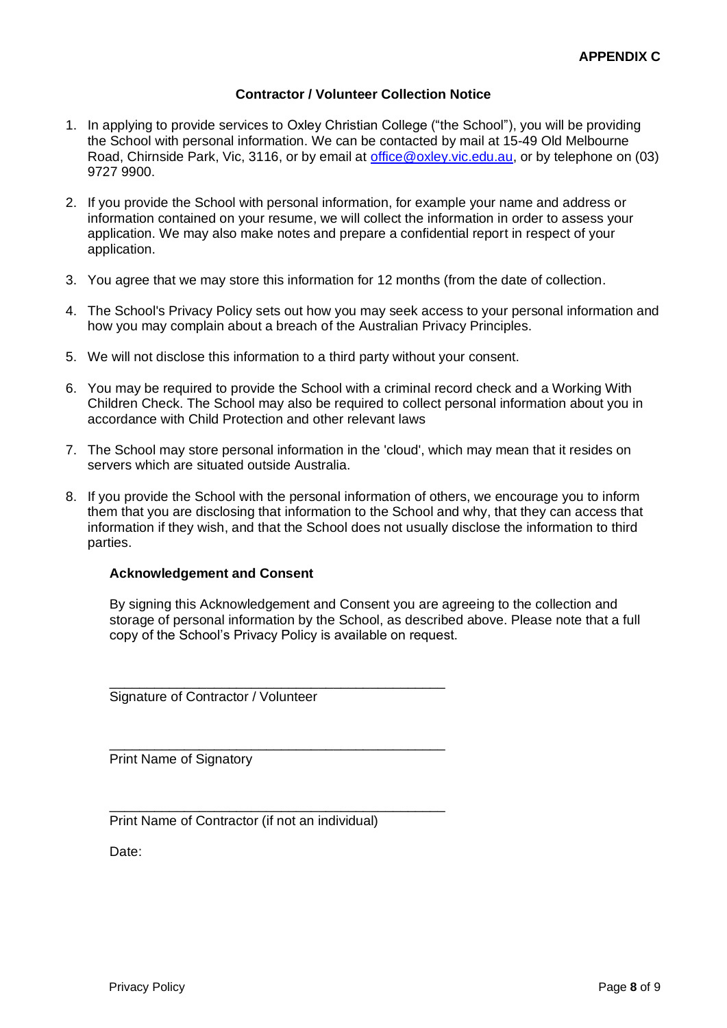#### **Contractor / Volunteer Collection Notice**

- 1. In applying to provide services to Oxley Christian College ("the School"), you will be providing the School with personal information. We can be contacted by mail at 15-49 Old Melbourne Road, Chirnside Park, Vic, 3116, or by email at [office@oxley.vic.edu.au,](mailto:office@oxley.vic.edu.au) or by telephone on (03) 9727 9900.
- 2. If you provide the School with personal information, for example your name and address or information contained on your resume, we will collect the information in order to assess your application. We may also make notes and prepare a confidential report in respect of your application.
- 3. You agree that we may store this information for 12 months (from the date of collection.
- 4. The School's Privacy Policy sets out how you may seek access to your personal information and how you may complain about a breach of the Australian Privacy Principles.
- 5. We will not disclose this information to a third party without your consent.
- 6. You may be required to provide the School with a criminal record check and a Working With Children Check. The School may also be required to collect personal information about you in accordance with Child Protection and other relevant laws
- 7. The School may store personal information in the 'cloud', which may mean that it resides on servers which are situated outside Australia.
- 8. If you provide the School with the personal information of others, we encourage you to inform them that you are disclosing that information to the School and why, that they can access that information if they wish, and that the School does not usually disclose the information to third parties.

#### **Acknowledgement and Consent**

By signing this Acknowledgement and Consent you are agreeing to the collection and storage of personal information by the School, as described above. Please note that a full copy of the School's Privacy Policy is available on request.

Signature of Contractor / Volunteer

Print Name of Signatory

Print Name of Contractor (if not an individual)

\_\_\_\_\_\_\_\_\_\_\_\_\_\_\_\_\_\_\_\_\_\_\_\_\_\_\_\_\_\_\_\_\_\_\_\_\_\_\_\_\_\_\_\_\_

\_\_\_\_\_\_\_\_\_\_\_\_\_\_\_\_\_\_\_\_\_\_\_\_\_\_\_\_\_\_\_\_\_\_\_\_\_\_\_\_\_\_\_\_\_

\_\_\_\_\_\_\_\_\_\_\_\_\_\_\_\_\_\_\_\_\_\_\_\_\_\_\_\_\_\_\_\_\_\_\_\_\_\_\_\_\_\_\_\_\_

Date: